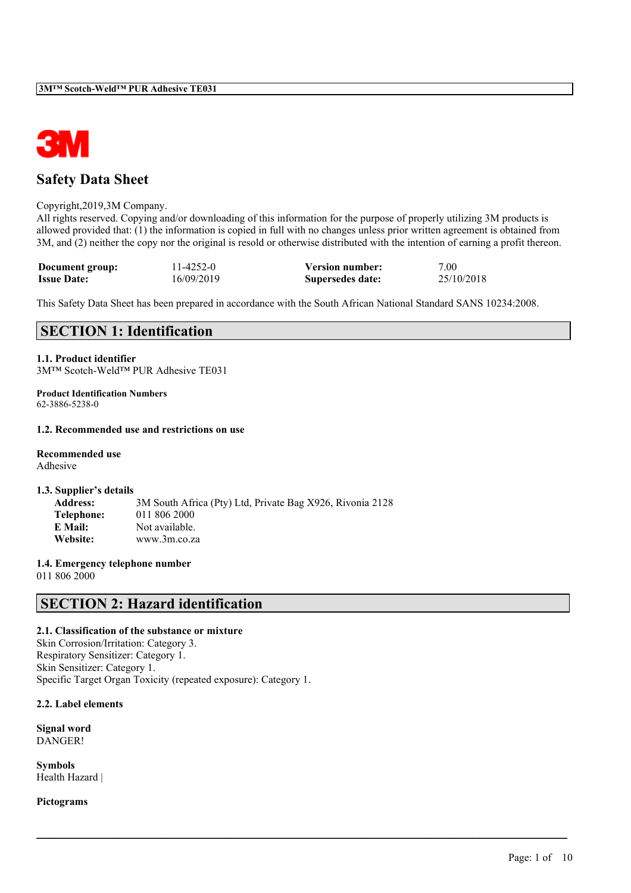

# **Safety Data Sheet**

### Copyright,2019,3M Company.

All rights reserved. Copying and/or downloading of this information for the purpose of properly utilizing 3M products is allowed provided that: (1) the information is copied in full with no changes unless prior written agreement is obtained from 3M, and (2) neither the copy nor the original is resold or otherwise distributed with the intention of earning a profit thereon.

| Document group:    | 11-4252-0  | <b>Version number:</b> | 7.00       |
|--------------------|------------|------------------------|------------|
| <b>Issue Date:</b> | 16/09/2019 | Supersedes date:       | 25/10/2018 |

This Safety Data Sheet has been prepared in accordance with the South African National Standard SANS 10234:2008.

 $\mathcal{L}_\mathcal{L} = \mathcal{L}_\mathcal{L} = \mathcal{L}_\mathcal{L} = \mathcal{L}_\mathcal{L} = \mathcal{L}_\mathcal{L} = \mathcal{L}_\mathcal{L} = \mathcal{L}_\mathcal{L} = \mathcal{L}_\mathcal{L} = \mathcal{L}_\mathcal{L} = \mathcal{L}_\mathcal{L} = \mathcal{L}_\mathcal{L} = \mathcal{L}_\mathcal{L} = \mathcal{L}_\mathcal{L} = \mathcal{L}_\mathcal{L} = \mathcal{L}_\mathcal{L} = \mathcal{L}_\mathcal{L} = \mathcal{L}_\mathcal{L}$ 

# **SECTION 1: Identification**

# **1.1. Product identifier**

3M™ Scotch-Weld™ PUR Adhesive TE031

**Product Identification Numbers** 62-3886-5238-0

### **1.2. Recommended use and restrictions on use**

### **Recommended use**

Adhesive

### **1.3. Supplier's details**

| <b>Address:</b> | 3M South Africa (Pty) Ltd, Private Bag X926, Rivonia 2128 |
|-----------------|-----------------------------------------------------------|
| Telephone:      | 011 806 2000                                              |
| E Mail:         | Not available.                                            |
| Website:        | www.3m.co.za                                              |

## **1.4. Emergency telephone number**

011 806 2000

# **SECTION 2: Hazard identification**

### **2.1. Classification of the substance or mixture**

Skin Corrosion/Irritation: Category 3. Respiratory Sensitizer: Category 1. Skin Sensitizer: Category 1. Specific Target Organ Toxicity (repeated exposure): Category 1.

### **2.2. Label elements**

**Signal word** DANGER!

**Symbols** Health Hazard |

**Pictograms**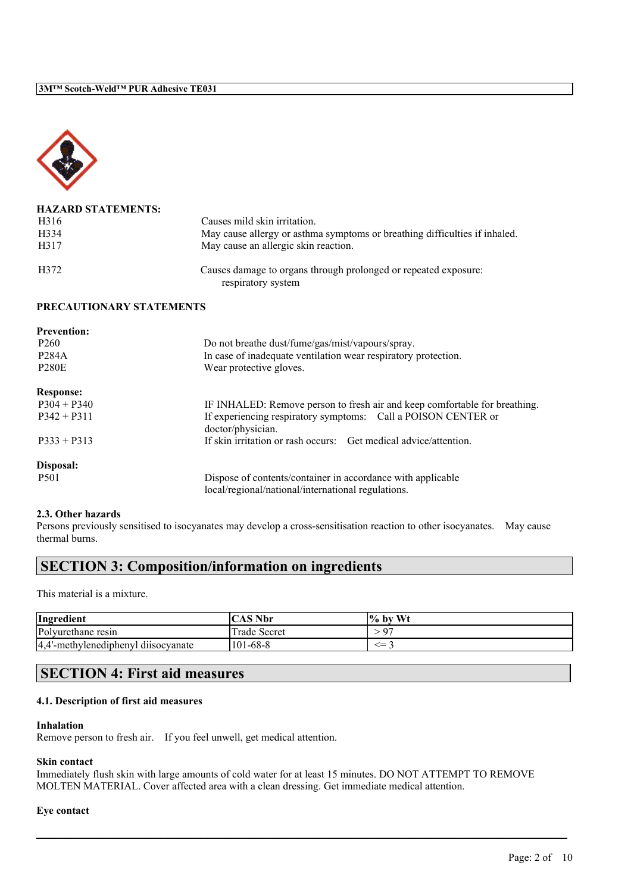

| <b>HAZARD STATEMENTS:</b> |                                                                                       |
|---------------------------|---------------------------------------------------------------------------------------|
| H <sub>3</sub> 16         | Causes mild skin irritation.                                                          |
| H <sub>3</sub> 34         | May cause allergy or asthma symptoms or breathing difficulties if inhaled.            |
| H317                      | May cause an allergic skin reaction.                                                  |
| H372                      | Causes damage to organs through prolonged or repeated exposure:<br>respiratory system |

### **PRECAUTIONARY STATEMENTS**

| <b>Prevention:</b> |                                                                                    |
|--------------------|------------------------------------------------------------------------------------|
| P <sub>260</sub>   | Do not breathe dust/fume/gas/mist/vapours/spray.                                   |
| <b>P284A</b>       | In case of inadequate ventilation wear respiratory protection.                     |
| <b>P280E</b>       | Wear protective gloves.                                                            |
| <b>Response:</b>   |                                                                                    |
| $P304 + P340$      | IF INHALED: Remove person to fresh air and keep comfortable for breathing.         |
| $P342 + P311$      | If experiencing respiratory symptoms: Call a POISON CENTER or<br>doctor/physician. |
| $P333 + P313$      | If skin irritation or rash occurs: Get medical advice/attention.                   |
| Disposal:          |                                                                                    |
| P <sub>501</sub>   | Dispose of contents/container in accordance with applicable                        |
|                    | local/regional/national/international regulations.                                 |

### **2.3. Other hazards**

Persons previously sensitised to isocyanates may develop a cross-sensitisation reaction to other isocyanates. May cause thermal burns.

# **SECTION 3: Composition/information on ingredients**

This material is a mixture.

| Ingredient                          | <b>CAS Nbr</b> | $\frac{6}{10}$ by Wt |
|-------------------------------------|----------------|----------------------|
| Polyurethane resin                  | Trade Secret   | $\cdot$ 0 $\sim$     |
| 4,4'-methylenediphenyl diisocyanate | $101 - 68 - 8$ | <=                   |

# **SECTION 4: First aid measures**

## **4.1. Description of first aid measures**

### **Inhalation**

Remove person to fresh air. If you feel unwell, get medical attention.

### **Skin contact**

Immediately flush skin with large amounts of cold water for at least 15 minutes. DO NOT ATTEMPT TO REMOVE MOLTEN MATERIAL. Cover affected area with a clean dressing. Get immediate medical attention.

 $\mathcal{L}_\mathcal{L} = \mathcal{L}_\mathcal{L} = \mathcal{L}_\mathcal{L} = \mathcal{L}_\mathcal{L} = \mathcal{L}_\mathcal{L} = \mathcal{L}_\mathcal{L} = \mathcal{L}_\mathcal{L} = \mathcal{L}_\mathcal{L} = \mathcal{L}_\mathcal{L} = \mathcal{L}_\mathcal{L} = \mathcal{L}_\mathcal{L} = \mathcal{L}_\mathcal{L} = \mathcal{L}_\mathcal{L} = \mathcal{L}_\mathcal{L} = \mathcal{L}_\mathcal{L} = \mathcal{L}_\mathcal{L} = \mathcal{L}_\mathcal{L}$ 

### **Eye contact**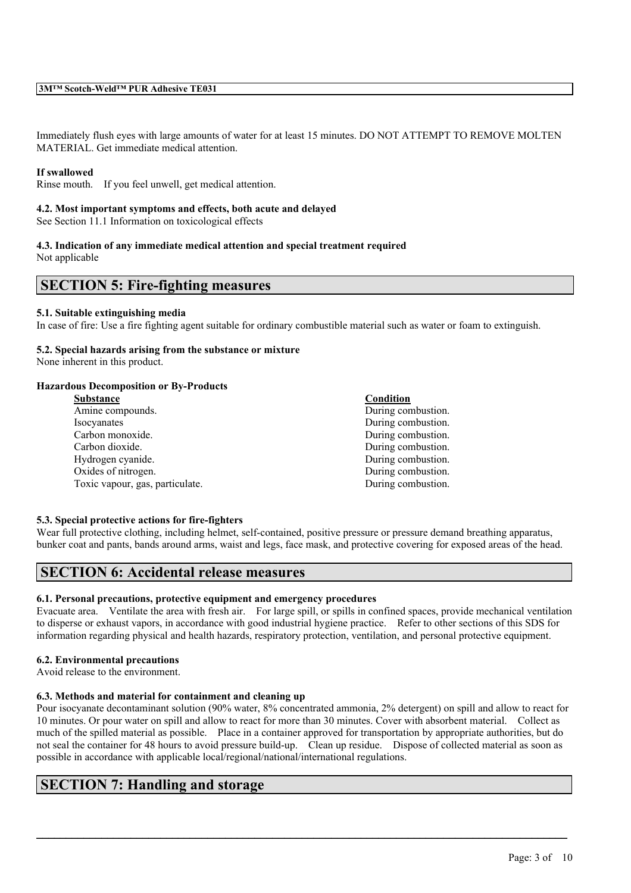Immediately flush eyes with large amounts of water for at least 15 minutes. DO NOT ATTEMPT TO REMOVE MOLTEN MATERIAL. Get immediate medical attention.

### **If swallowed**

Rinse mouth. If you feel unwell, get medical attention.

### **4.2. Most important symptoms and effects, both acute and delayed**

See Section 11.1 Information on toxicological effects

# **4.3. Indication of any immediate medical attention and special treatment required**

Not applicable

# **SECTION 5: Fire-fighting measures**

### **5.1. Suitable extinguishing media**

In case of fire: Use a fire fighting agent suitable for ordinary combustible material such as water or foam to extinguish.

## **5.2. Special hazards arising from the substance or mixture**

None inherent in this product.

### **Hazardous Decomposition or By-Products**

| <b>Substance</b>                | Condition          |
|---------------------------------|--------------------|
| Amine compounds.                | During combustion. |
| Isocyanates                     | During combustion. |
| Carbon monoxide.                | During combustion. |
| Carbon dioxide.                 | During combustion. |
| Hydrogen cyanide.               | During combustion. |
| Oxides of nitrogen.             | During combustion. |
| Toxic vapour, gas, particulate. | During combustion. |
|                                 |                    |

### **5.3. Special protective actions for fire-fighters**

Wear full protective clothing, including helmet, self-contained, positive pressure or pressure demand breathing apparatus, bunker coat and pants, bands around arms, waist and legs, face mask, and protective covering for exposed areas of the head.

# **SECTION 6: Accidental release measures**

## **6.1. Personal precautions, protective equipment and emergency procedures**

Evacuate area. Ventilate the area with fresh air. For large spill, or spills in confined spaces, provide mechanical ventilation to disperse or exhaust vapors, in accordance with good industrial hygiene practice. Refer to other sections of this SDS for information regarding physical and health hazards, respiratory protection, ventilation, and personal protective equipment.

### **6.2. Environmental precautions**

Avoid release to the environment.

### **6.3. Methods and material for containment and cleaning up**

Pour isocyanate decontaminant solution (90% water, 8% concentrated ammonia, 2% detergent) on spill and allow to react for 10 minutes. Or pour water on spill and allow to react for more than 30 minutes. Cover with absorbent material. Collect as much of the spilled material as possible. Place in a container approved for transportation by appropriate authorities, but do not seal the container for 48 hours to avoid pressure build-up. Clean up residue. Dispose of collected material as soon as possible in accordance with applicable local/regional/national/international regulations.

 $\mathcal{L}_\mathcal{L} = \mathcal{L}_\mathcal{L} = \mathcal{L}_\mathcal{L} = \mathcal{L}_\mathcal{L} = \mathcal{L}_\mathcal{L} = \mathcal{L}_\mathcal{L} = \mathcal{L}_\mathcal{L} = \mathcal{L}_\mathcal{L} = \mathcal{L}_\mathcal{L} = \mathcal{L}_\mathcal{L} = \mathcal{L}_\mathcal{L} = \mathcal{L}_\mathcal{L} = \mathcal{L}_\mathcal{L} = \mathcal{L}_\mathcal{L} = \mathcal{L}_\mathcal{L} = \mathcal{L}_\mathcal{L} = \mathcal{L}_\mathcal{L}$ 

# **SECTION 7: Handling and storage**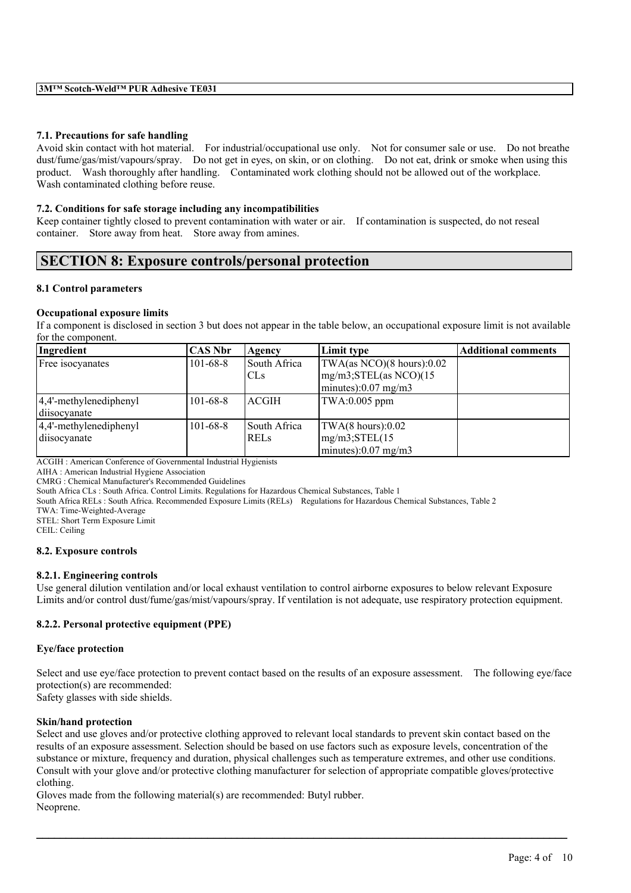### **7.1. Precautions for safe handling**

Avoid skin contact with hot material. For industrial/occupational use only. Not for consumer sale or use. Do not breathe dust/fume/gas/mist/vapours/spray. Do not get in eyes, on skin, or on clothing. Do not eat, drink or smoke when using this product. Wash thoroughly after handling. Contaminated work clothing should not be allowed out of the workplace. Wash contaminated clothing before reuse.

### **7.2. Conditions for safe storage including any incompatibilities**

Keep container tightly closed to prevent contamination with water or air. If contamination is suspected, do not reseal container. Store away from heat. Store away from amines.

# **SECTION 8: Exposure controls/personal protection**

### **8.1 Control parameters**

### **Occupational exposure limits**

If a component is disclosed in section 3 but does not appear in the table below, an occupational exposure limit is not available for the component.

| Ingredient                 | <b>CAS Nbr</b> | Agency       | Limit type                  | <b>Additional comments</b> |
|----------------------------|----------------|--------------|-----------------------------|----------------------------|
| Free isocyanates           | $101 - 68 - 8$ | South Africa | TWA(as NCO)(8 hours):0.02   |                            |
|                            |                | ICLs         | $mg/m3;$ STEL(as NCO)(15    |                            |
|                            |                |              | $\vert$ minutes):0.07 mg/m3 |                            |
| $ 4,4'$ -methylenediphenyl | $101 - 68 - 8$ | ACGIH        | TWA:0.005 ppm               |                            |
| diisocyanate               |                |              |                             |                            |
| $ 4,4'$ -methylenediphenyl | $101 - 68 - 8$ | South Africa | TWA(8 hours):0.02           |                            |
| diisocyanate               |                | <b>RELS</b>  | $mg/m3;$ STEL $(15$         |                            |
|                            |                |              | minutes): $0.07$ mg/m3      |                            |

ACGIH : American Conference of Governmental Industrial Hygienists

AIHA : American Industrial Hygiene Association

CMRG : Chemical Manufacturer's Recommended Guidelines

South Africa CLs : South Africa. Control Limits. Regulations for Hazardous Chemical Substances, Table 1

South Africa RELs : South Africa. Recommended Exposure Limits (RELs) Regulations for Hazardous Chemical Substances, Table 2

TWA: Time-Weighted-Average

STEL: Short Term Exposure Limit

CEIL: Ceiling

### **8.2. Exposure controls**

### **8.2.1. Engineering controls**

Use general dilution ventilation and/or local exhaust ventilation to control airborne exposures to below relevant Exposure Limits and/or control dust/fume/gas/mist/vapours/spray. If ventilation is not adequate, use respiratory protection equipment.

### **8.2.2. Personal protective equipment (PPE)**

### **Eye/face protection**

Select and use eye/face protection to prevent contact based on the results of an exposure assessment. The following eye/face protection(s) are recommended:

Safety glasses with side shields.

### **Skin/hand protection**

Select and use gloves and/or protective clothing approved to relevant local standards to prevent skin contact based on the results of an exposure assessment. Selection should be based on use factors such as exposure levels, concentration of the substance or mixture, frequency and duration, physical challenges such as temperature extremes, and other use conditions. Consult with your glove and/or protective clothing manufacturer for selection of appropriate compatible gloves/protective clothing.

 $\mathcal{L}_\mathcal{L} = \mathcal{L}_\mathcal{L} = \mathcal{L}_\mathcal{L} = \mathcal{L}_\mathcal{L} = \mathcal{L}_\mathcal{L} = \mathcal{L}_\mathcal{L} = \mathcal{L}_\mathcal{L} = \mathcal{L}_\mathcal{L} = \mathcal{L}_\mathcal{L} = \mathcal{L}_\mathcal{L} = \mathcal{L}_\mathcal{L} = \mathcal{L}_\mathcal{L} = \mathcal{L}_\mathcal{L} = \mathcal{L}_\mathcal{L} = \mathcal{L}_\mathcal{L} = \mathcal{L}_\mathcal{L} = \mathcal{L}_\mathcal{L}$ 

Gloves made from the following material(s) are recommended: Butyl rubber. Neoprene.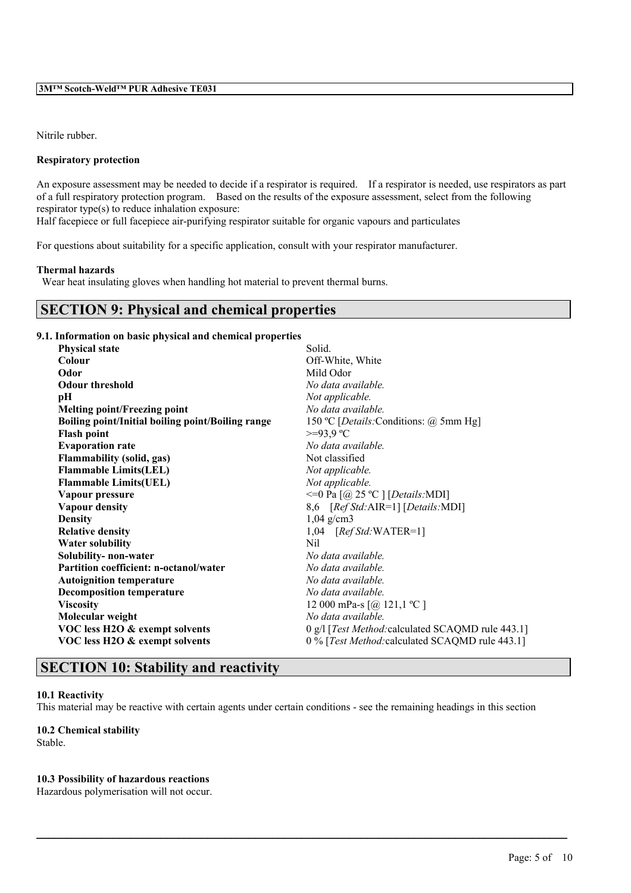Nitrile rubber.

### **Respiratory protection**

An exposure assessment may be needed to decide if a respirator is required. If a respirator is needed, use respirators as part of a full respiratory protection program. Based on the results of the exposure assessment, select from the following respirator type(s) to reduce inhalation exposure:

Half facepiece or full facepiece air-purifying respirator suitable for organic vapours and particulates

For questions about suitability for a specific application, consult with your respirator manufacturer.

### **Thermal hazards**

Wear heat insulating gloves when handling hot material to prevent thermal burns.

# **SECTION 9: Physical and chemical properties**

### **9.1. Information on basic physical and chemical properties**

| Throi mation on basic physical and chemical properties |                                                     |
|--------------------------------------------------------|-----------------------------------------------------|
| <b>Physical state</b>                                  | Solid.                                              |
| Colour                                                 | Off-White, White                                    |
| Odor                                                   | Mild Odor                                           |
| <b>Odour threshold</b>                                 | No data available.                                  |
| pН                                                     | Not applicable.                                     |
| <b>Melting point/Freezing point</b>                    | No data available.                                  |
| Boiling point/Initial boiling point/Boiling range      | 150 °C [ <i>Details</i> : Conditions: @ 5mm Hg]     |
| <b>Flash point</b>                                     | $>=93.9$ °C                                         |
| <b>Evaporation rate</b>                                | No data available.                                  |
| <b>Flammability (solid, gas)</b>                       | Not classified                                      |
| <b>Flammable Limits(LEL)</b>                           | Not applicable.                                     |
| <b>Flammable Limits(UEL)</b>                           | Not applicable.                                     |
| Vapour pressure                                        | $\leq$ Pa $\left[$ @ 25 °C $\right]$ [Details: MDI] |
| <b>Vapour density</b>                                  | 8,6 [Ref Std: AIR=1] [Details: MDI]                 |
| <b>Density</b>                                         | $1,04$ g/cm3                                        |
| <b>Relative density</b>                                | $1,04$ [Ref Std:WATER=1]                            |
| <b>Water solubility</b>                                | Nil                                                 |
| Solubility- non-water                                  | No data available.                                  |
| <b>Partition coefficient: n-octanol/water</b>          | No data available.                                  |
| <b>Autoignition temperature</b>                        | No data available.                                  |
| <b>Decomposition temperature</b>                       | No data available.                                  |
| <b>Viscosity</b>                                       | 12 000 mPa-s $[@ 121, 1 °C]$                        |
| Molecular weight                                       | No data available.                                  |
| VOC less H2O & exempt solvents                         | 0 g/l [Test Method: calculated SCAQMD rule 443.1]   |
| VOC less H2O & exempt solvents                         | 0 % [Test Method: calculated SCAQMD rule 443.1]     |
|                                                        |                                                     |

# **SECTION 10: Stability and reactivity**

## **10.1 Reactivity**

This material may be reactive with certain agents under certain conditions - see the remaining headings in this section

 $\mathcal{L}_\mathcal{L} = \mathcal{L}_\mathcal{L} = \mathcal{L}_\mathcal{L} = \mathcal{L}_\mathcal{L} = \mathcal{L}_\mathcal{L} = \mathcal{L}_\mathcal{L} = \mathcal{L}_\mathcal{L} = \mathcal{L}_\mathcal{L} = \mathcal{L}_\mathcal{L} = \mathcal{L}_\mathcal{L} = \mathcal{L}_\mathcal{L} = \mathcal{L}_\mathcal{L} = \mathcal{L}_\mathcal{L} = \mathcal{L}_\mathcal{L} = \mathcal{L}_\mathcal{L} = \mathcal{L}_\mathcal{L} = \mathcal{L}_\mathcal{L}$ 

## **10.2 Chemical stability**

Stable.

## **10.3 Possibility of hazardous reactions**

Hazardous polymerisation will not occur.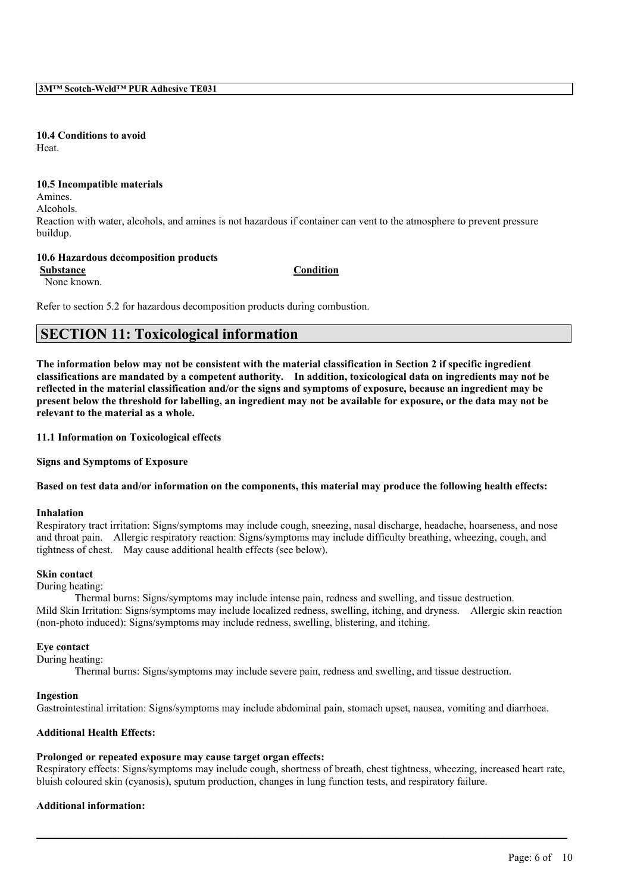**10.4 Conditions to avoid** Heat.

#### **10.5 Incompatible materials**

Amines.

Alcohols.

Reaction with water, alcohols, and amines is not hazardous if container can vent to the atmosphere to prevent pressure buildup.

### **10.6 Hazardous decomposition products**

**Substance Condition**

None known.

Refer to section 5.2 for hazardous decomposition products during combustion.

# **SECTION 11: Toxicological information**

The information below may not be consistent with the material classification in Section 2 if specific ingredient **classifications are mandated by a competent authority. In addition, toxicological data on ingredients may not be** reflected in the material classification and/or the signs and symptoms of exposure, because an ingredient may be present below the threshold for labelling, an ingredient may not be available for exposure, or the data may not be **relevant to the material as a whole.**

### **11.1 Information on Toxicological effects**

**Signs and Symptoms of Exposure**

### Based on test data and/or information on the components, this material may produce the following health effects:

### **Inhalation**

Respiratory tract irritation: Signs/symptoms may include cough, sneezing, nasal discharge, headache, hoarseness, and nose and throat pain. Allergic respiratory reaction: Signs/symptoms may include difficulty breathing, wheezing, cough, and tightness of chest. May cause additional health effects (see below).

### **Skin contact**

During heating:

Thermal burns: Signs/symptoms may include intense pain, redness and swelling, and tissue destruction. Mild Skin Irritation: Signs/symptoms may include localized redness, swelling, itching, and dryness. Allergic skin reaction (non-photo induced): Signs/symptoms may include redness, swelling, blistering, and itching.

### **Eye contact**

During heating:

Thermal burns: Signs/symptoms may include severe pain, redness and swelling, and tissue destruction.

### **Ingestion**

Gastrointestinal irritation: Signs/symptoms may include abdominal pain, stomach upset, nausea, vomiting and diarrhoea.

### **Additional Health Effects:**

# **Prolonged or repeated exposure may cause target organ effects:**

Respiratory effects: Signs/symptoms may include cough, shortness of breath, chest tightness, wheezing, increased heart rate, bluish coloured skin (cyanosis), sputum production, changes in lung function tests, and respiratory failure.

 $\mathcal{L}_\mathcal{L} = \mathcal{L}_\mathcal{L} = \mathcal{L}_\mathcal{L} = \mathcal{L}_\mathcal{L} = \mathcal{L}_\mathcal{L} = \mathcal{L}_\mathcal{L} = \mathcal{L}_\mathcal{L} = \mathcal{L}_\mathcal{L} = \mathcal{L}_\mathcal{L} = \mathcal{L}_\mathcal{L} = \mathcal{L}_\mathcal{L} = \mathcal{L}_\mathcal{L} = \mathcal{L}_\mathcal{L} = \mathcal{L}_\mathcal{L} = \mathcal{L}_\mathcal{L} = \mathcal{L}_\mathcal{L} = \mathcal{L}_\mathcal{L}$ 

# **Additional information:**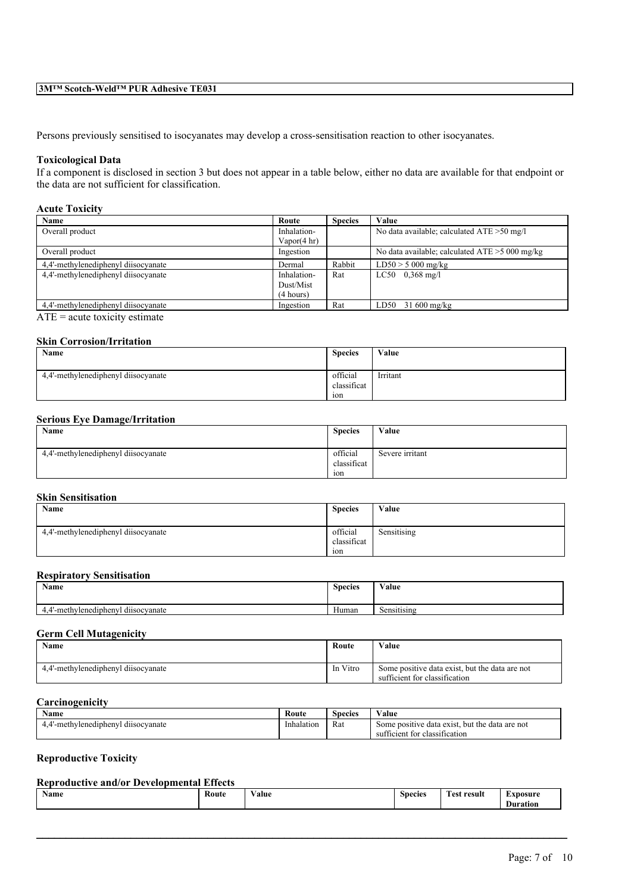# **3M™ Scotch-Weld™ PUR Adhesive TE031**

Persons previously sensitised to isocyanates may develop a cross-sensitisation reaction to other isocyanates.

### **Toxicological Data**

If a component is disclosed in section 3 but does not appear in a table below, either no data are available for that endpoint or the data are not sufficient for classification.

# **Acute Toxicity**

| Name                                | Route                  | <b>Species</b> | Value                                          |
|-------------------------------------|------------------------|----------------|------------------------------------------------|
| Overall product                     | Inhalation-            |                | No data available; calculated $ATE > 50$ mg/l  |
|                                     | Vapor $(4 \text{ hr})$ |                |                                                |
| Overall product                     | Ingestion              |                | No data available; calculated ATE > 5000 mg/kg |
| 4.4'-methylenediphenyl diisocyanate | Dermal                 | Rabbit         | $LD50 > 5000$ mg/kg                            |
| 4.4'-methylenediphenyl diisocyanate | Inhalation-            | Rat            | $LC50$ 0.368 mg/l                              |
|                                     | Dust/Mist              |                |                                                |
|                                     | (4 hours)              |                |                                                |
| 4.4'-methylenediphenyl diisocyanate | Ingestion              | Rat            | $31\,600\,\mathrm{mg/kg}$<br>LD50              |
|                                     |                        |                |                                                |

 $ATE = acute$  toxicity estimate

## **Skin Corrosion/Irritation**

| Name                                | <b>Species</b>                 | Value    |
|-------------------------------------|--------------------------------|----------|
| 4.4'-methylenediphenyl diisocyanate | official<br>classificat<br>ion | Irritant |

### **Serious Eye Damage/Irritation**

| Name                                | <b>Species</b>          | Value           |
|-------------------------------------|-------------------------|-----------------|
| 4,4'-methylenediphenyl diisocyanate | official<br>classificat | Severe irritant |
|                                     | 10n                     |                 |

# **Skin Sensitisation**

| Name                                | <b>Species</b>                 | Value       |
|-------------------------------------|--------------------------------|-------------|
| 4,4'-methylenediphenyl diisocyanate | official<br>classificat<br>10n | Sensitising |

# **Respiratory Sensitisation**

| Name                                          | Species | $\mathbf{v}$ $\mathbf{v}$<br>Value |
|-----------------------------------------------|---------|------------------------------------|
| $\cdots$<br>-methylenediphenyl<br>dusocyanate | Human   | $\sim$<br>Sensitising              |

### **Germ Cell Mutagenicity**

| Name                                | Route    | Value                                                                           |
|-------------------------------------|----------|---------------------------------------------------------------------------------|
| 4.4'-methylenediphenyl diisocyanate | In Vitro | Some positive data exist, but the data are not<br>sufficient for classification |

# **Carcinogenicity**

| $\mathbf{X}$<br>Name                              | Route      | <b>Species</b>                  | V alue                                                                                                |
|---------------------------------------------------|------------|---------------------------------|-------------------------------------------------------------------------------------------------------|
| $\cdots$<br>lenedipheny<br>dusocvanate<br>-methvl | Inhalation | <b>The Second Second</b><br>Rat | but the<br>data are not<br>e data exist.<br>: positive<br>some<br>classification<br>ncient for<br>sui |

# **Reproductive Toxicity**

# **Reproductive and/or Developmental Effects**

| <b>Name</b> | Route<br>. | $\mathbf{v}$<br>Value<br>$\cdots$ | $\sim$<br>Species<br>. | <b>CONTRACTOR</b><br>est result | -<br>``xnosure<br>$\sim$<br>∽<br>Duration |
|-------------|------------|-----------------------------------|------------------------|---------------------------------|-------------------------------------------|
|-------------|------------|-----------------------------------|------------------------|---------------------------------|-------------------------------------------|

 $\mathcal{L}_\mathcal{L} = \mathcal{L}_\mathcal{L} = \mathcal{L}_\mathcal{L} = \mathcal{L}_\mathcal{L} = \mathcal{L}_\mathcal{L} = \mathcal{L}_\mathcal{L} = \mathcal{L}_\mathcal{L} = \mathcal{L}_\mathcal{L} = \mathcal{L}_\mathcal{L} = \mathcal{L}_\mathcal{L} = \mathcal{L}_\mathcal{L} = \mathcal{L}_\mathcal{L} = \mathcal{L}_\mathcal{L} = \mathcal{L}_\mathcal{L} = \mathcal{L}_\mathcal{L} = \mathcal{L}_\mathcal{L} = \mathcal{L}_\mathcal{L}$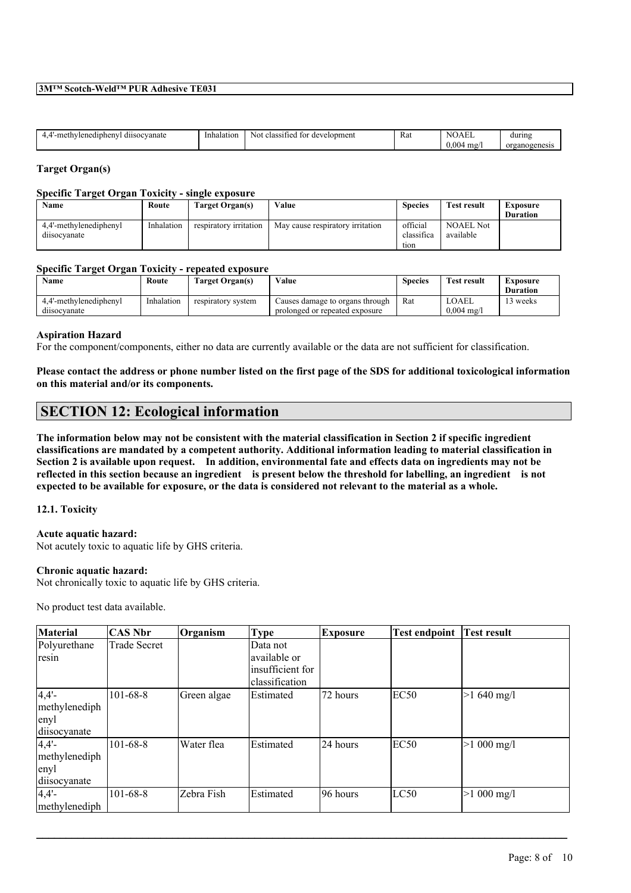### **3M™ Scotch-Weld™ PUR Adhesive TE031**

| $\sim$ $\sim$<br>dinheny<br>วcvanate<br>$\sim$<br>f11c<br>. . | ılatıon<br>-Inha. | development<br>'nΠ<br>clase <sup></sup><br>Not<br>1ес | ÷<br>Rat<br>. |             | during          |
|---------------------------------------------------------------|-------------------|-------------------------------------------------------|---------------|-------------|-----------------|
|                                                               |                   |                                                       |               | .004<br>mg/ | organog<br>ene. |
|                                                               |                   |                                                       |               |             |                 |

## **Target Organ(s)**

### **Specific Target Organ Toxicity - single exposure**

| Name                   | Route      | Target Organ(s)        | Value                            | <b>Species</b>               | <b>Test result</b> | Exposure        |
|------------------------|------------|------------------------|----------------------------------|------------------------------|--------------------|-----------------|
|                        |            |                        |                                  |                              |                    | <b>Duration</b> |
| 4.4'-methylenediphenyl | Inhalation | respiratory irritation | May cause respiratory irritation | official                     | <b>NOAEL Not</b>   |                 |
| dusocvanate            |            |                        |                                  | $\cdot$ $\sim$<br>classifica | available          |                 |
|                        |            |                        |                                  | tion                         |                    |                 |

### **Specific Target Organ Toxicity - repeated exposure**

| Name                   | Route      | Target Organ(s)    | Value                           | <b>Species</b> | <b>Test result</b>    | Exposure<br><b>Duration</b> |
|------------------------|------------|--------------------|---------------------------------|----------------|-----------------------|-----------------------------|
| 4.4'-methylenediphenyl | Inhalation | respiratory system | Causes damage to organs through | Rat            | LOAEL                 | 3 weeks                     |
| dusocvanate            |            |                    | prolonged or repeated exposure  |                | $0.004 \text{ m}$ g/l |                             |

### **Aspiration Hazard**

For the component/components, either no data are currently available or the data are not sufficient for classification.

Please contact the address or phone number listed on the first page of the SDS for additional toxicological information **on this material and/or its components.**

# **SECTION 12: Ecological information**

The information below may not be consistent with the material classification in Section 2 if specific ingredient **classifications are mandated by a competent authority. Additional information leading to material classification in** Section 2 is available upon request. In addition, environmental fate and effects data on ingredients may not be reflected in this section because an ingredient is present below the threshold for labelling, an ingredient is not expected to be available for exposure, or the data is considered not relevant to the material as a whole.

### **12.1. Toxicity**

### **Acute aquatic hazard:**

Not acutely toxic to aquatic life by GHS criteria.

### **Chronic aquatic hazard:**

Not chronically toxic to aquatic life by GHS criteria.

No product test data available.

| <b>Material</b>                                   | CAS Nbr             | Organism    | <b>Type</b>                                                    | <b>Exposure</b> | <b>Test endpoint</b> | <b>Test result</b>   |
|---------------------------------------------------|---------------------|-------------|----------------------------------------------------------------|-----------------|----------------------|----------------------|
| Polyurethane<br>resin                             | <b>Trade Secret</b> |             | Data not<br>available or<br>insufficient for<br>classification |                 |                      |                      |
| $4,4'$ -<br>methylenediph<br>enyl<br>diisocyanate | $101 - 68 - 8$      | Green algae | Estimated                                                      | 72 hours        | EC <sub>50</sub>     | $>1,640$ mg/l        |
| $4,4'$ -<br>methylenediph<br>enyl<br>diisocyanate | $101 - 68 - 8$      | Water flea  | Estimated                                                      | l24 hours       | EC <sub>50</sub>     | $>1000$ mg/l         |
| $4,4'$ -<br>methylenediph                         | $101 - 68 - 8$      | Zebra Fish  | Estimated                                                      | 196 hours       | LC50                 | $>1000 \text{ mg/l}$ |

 $\mathcal{L}_\mathcal{L} = \mathcal{L}_\mathcal{L} = \mathcal{L}_\mathcal{L} = \mathcal{L}_\mathcal{L} = \mathcal{L}_\mathcal{L} = \mathcal{L}_\mathcal{L} = \mathcal{L}_\mathcal{L} = \mathcal{L}_\mathcal{L} = \mathcal{L}_\mathcal{L} = \mathcal{L}_\mathcal{L} = \mathcal{L}_\mathcal{L} = \mathcal{L}_\mathcal{L} = \mathcal{L}_\mathcal{L} = \mathcal{L}_\mathcal{L} = \mathcal{L}_\mathcal{L} = \mathcal{L}_\mathcal{L} = \mathcal{L}_\mathcal{L}$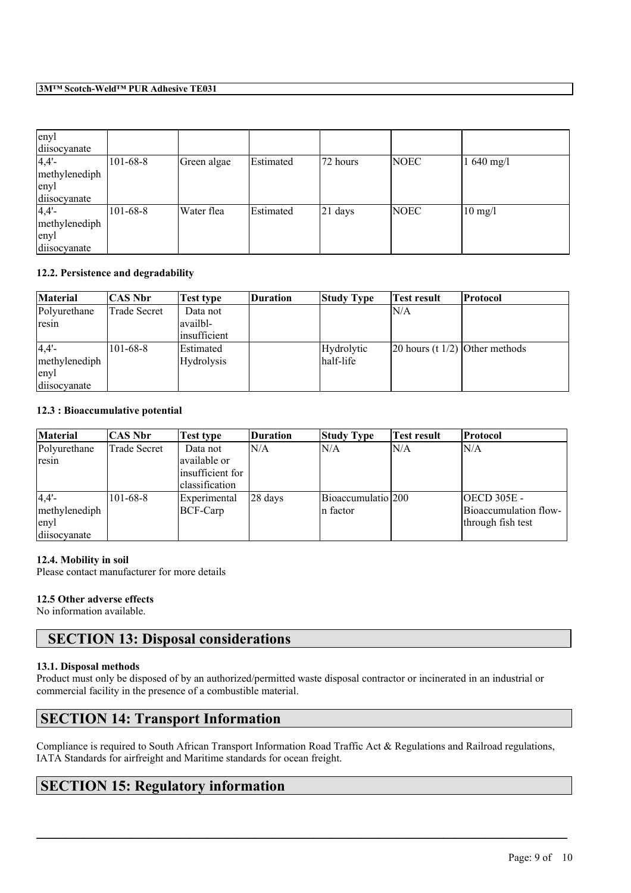# **3M™ Scotch-Weld™ PUR Adhesive TE031**

| enyl          |                |             |           |            |             |                   |
|---------------|----------------|-------------|-----------|------------|-------------|-------------------|
| diisocyanate  |                |             |           |            |             |                   |
| 4,4'          | $101 - 68 - 8$ | Green algae | Estimated | 172 hours  | <b>NOEC</b> | $1640$ mg/l       |
| methylenediph |                |             |           |            |             |                   |
| enyl          |                |             |           |            |             |                   |
| diisocyanate  |                |             |           |            |             |                   |
| 4,4'          | $101 - 68 - 8$ | Water flea  | Estimated | $ 21$ days | <b>NOEC</b> | $10 \text{ mg/l}$ |
| methylenediph |                |             |           |            |             |                   |
| enyl          |                |             |           |            |             |                   |
| diisocyanate  |                |             |           |            |             |                   |

## **12.2. Persistence and degradability**

| <b>Material</b>       | CAS Nbr        | Test type                                    | Duration | <b>Study Type</b> | <b>Test result</b>                     | Protocol |
|-----------------------|----------------|----------------------------------------------|----------|-------------------|----------------------------------------|----------|
| Polyurethane<br>resin | Trade Secret   | Data not<br> availbl-<br><i>insufficient</i> |          |                   | IN/A                                   |          |
| 4,4'                  | $101 - 68 - 8$ | Estimated                                    |          | Hydrolytic        | $\vert$ 20 hours (t 1/2) Other methods |          |
| methylenediph         |                | <b>Hydrolysis</b>                            |          | half-life         |                                        |          |
| enyl                  |                |                                              |          |                   |                                        |          |
| diisocyanate          |                |                                              |          |                   |                                        |          |

# **12.3 : Bioaccumulative potential**

| <b>Material</b>                               | CAS Nbr             | Test type                                                               | Duration            | <b>Study Type</b>               | <b>Test result</b> | Protocol                                                         |
|-----------------------------------------------|---------------------|-------------------------------------------------------------------------|---------------------|---------------------------------|--------------------|------------------------------------------------------------------|
| Polyurethane<br>resin                         | <b>Trade Secret</b> | Data not<br>lavailable or<br>linsufficient for<br><i>classification</i> | N/A                 | N/A                             | ln/a               | N/A                                                              |
| 4,4'<br>methylenediph<br>enyl<br>diisocyanate | $101 - 68 - 8$      | <b>Experimental</b><br>BCF-Carp                                         | $ 28 \text{ days} $ | Bioaccumulatio 200<br>In factor |                    | <b>OECD 305E -</b><br>Bioaccumulation flow-<br>through fish test |

## **12.4. Mobility in soil**

Please contact manufacturer for more details

# **12.5 Other adverse effects**

No information available.

# **SECTION 13: Disposal considerations**

## **13.1. Disposal methods**

Product must only be disposed of by an authorized/permitted waste disposal contractor or incinerated in an industrial or commercial facility in the presence of a combustible material.

# **SECTION 14: Transport Information**

Compliance is required to South African Transport Information Road Traffic Act & Regulations and Railroad regulations, IATA Standards for airfreight and Maritime standards for ocean freight.

 $\mathcal{L}_\mathcal{L} = \mathcal{L}_\mathcal{L} = \mathcal{L}_\mathcal{L} = \mathcal{L}_\mathcal{L} = \mathcal{L}_\mathcal{L} = \mathcal{L}_\mathcal{L} = \mathcal{L}_\mathcal{L} = \mathcal{L}_\mathcal{L} = \mathcal{L}_\mathcal{L} = \mathcal{L}_\mathcal{L} = \mathcal{L}_\mathcal{L} = \mathcal{L}_\mathcal{L} = \mathcal{L}_\mathcal{L} = \mathcal{L}_\mathcal{L} = \mathcal{L}_\mathcal{L} = \mathcal{L}_\mathcal{L} = \mathcal{L}_\mathcal{L}$ 

# **SECTION 15: Regulatory information**